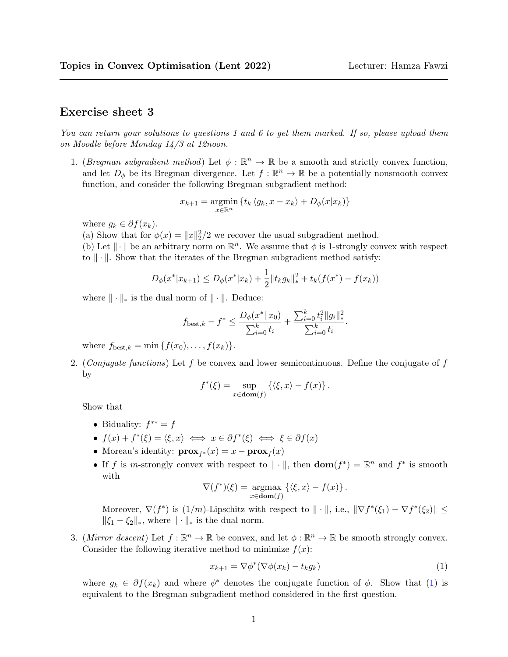## Exercise sheet 3

You can return your solutions to questions 1 and 6 to get them marked. If so, please upload them on Moodle before Monday 14/3 at 12noon.

1. (Bregman subgradient method) Let  $\phi : \mathbb{R}^n \to \mathbb{R}$  be a smooth and strictly convex function, and let  $D_{\phi}$  be its Bregman divergence. Let  $f : \mathbb{R}^n \to \mathbb{R}$  be a potentially nonsmooth convex function, and consider the following Bregman subgradient method:

$$
x_{k+1} = \underset{x \in \mathbb{R}^n}{\operatorname{argmin}} \left\{ t_k \left\langle g_k, x - x_k \right\rangle + D_{\phi}(x | x_k) \right\}
$$

where  $g_k \in \partial f(x_k)$ .

(a) Show that for  $\phi(x) = ||x||_2^2/2$  we recover the usual subgradient method.

(b) Let  $\|\cdot\|$  be an arbitrary norm on  $\mathbb{R}^n$ . We assume that  $\phi$  is 1-strongly convex with respect to  $\|\cdot\|$ . Show that the iterates of the Bregman subgradient method satisfy:

$$
D_{\phi}(x^*|x_{k+1}) \le D_{\phi}(x^*|x_k) + \frac{1}{2}||t_k g_k||_*^2 + t_k(f(x^*) - f(x_k))
$$

where  $\|\cdot\|_*$  is the dual norm of  $\|\cdot\|$ . Deduce:

$$
f_{\text{best},k} - f^* \leq \frac{D_{\phi}(x^* \| x_0)}{\sum_{i=0}^k t_i} + \frac{\sum_{i=0}^k t_i^2 \| g_i \|_*^2}{\sum_{i=0}^k t_i}.
$$

where  $f_{\text{best},k} = \min \{f(x_0), \ldots, f(x_k)\}.$ 

2. (Conjugate functions) Let f be convex and lower semicontinuous. Define the conjugate of f by

$$
f^*(\xi) = \sup_{x \in \text{dom}(f)} \left\{ \langle \xi, x \rangle - f(x) \right\}.
$$

Show that

- Biduality:  $f^{**} = f$
- $f(x) + f^*(\xi) = \langle \xi, x \rangle \iff x \in \partial f^*(\xi) \iff \xi \in \partial f(x)$
- Moreau's identity:  $\mathbf{prox}_{f^*}(x) = x \mathbf{prox}_f(x)$
- If f is m-strongly convex with respect to  $\|\cdot\|$ , then  $\text{dom}(f^*) = \mathbb{R}^n$  and  $f^*$  is smooth with

$$
\nabla(f^*)(\xi) = \underset{x \in \text{dom}(f)}{\operatorname{argmax}} \left\{ \langle \xi, x \rangle - f(x) \right\}.
$$

Moreover,  $\nabla(f^*)$  is  $(1/m)$ -Lipschitz with respect to  $\|\cdot\|$ , i.e.,  $\|\nabla f^*(\xi_1) - \nabla f^*(\xi_2)\| \le$  $\|\xi_1 - \xi_2\|_*$ , where  $\|\cdot\|_*$  is the dual norm.

3. (Mirror descent) Let  $f : \mathbb{R}^n \to \mathbb{R}$  be convex, and let  $\phi : \mathbb{R}^n \to \mathbb{R}$  be smooth strongly convex. Consider the following iterative method to minimize  $f(x)$ :

<span id="page-0-0"></span>
$$
x_{k+1} = \nabla \phi^*(\nabla \phi(x_k) - t_k g_k)
$$
\n(1)

where  $g_k \in \partial f(x_k)$  and where  $\phi^*$  denotes the conjugate function of  $\phi$ . Show that [\(1\)](#page-0-0) is equivalent to the Bregman subgradient method considered in the first question.